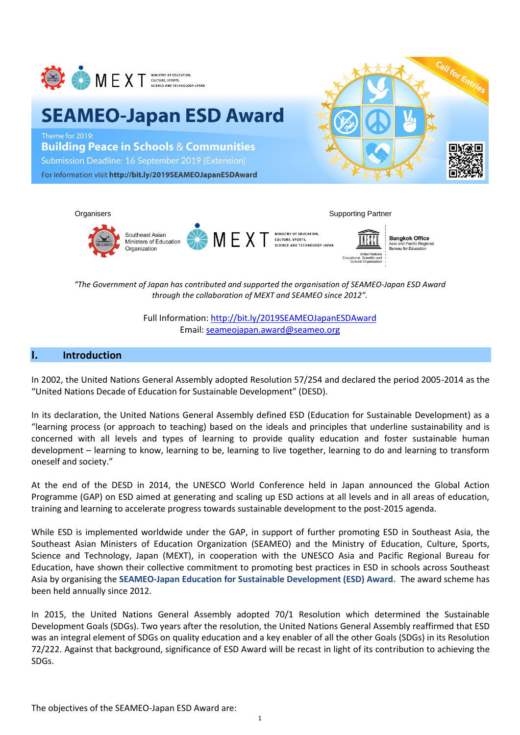

# **SEAMEO-Japan ESD Award**

Theme for 2019: **Building Peace in Schools & Communities** Submission Deadline: 16 September 2019 (Extension) For information visit http://bit.ly/2019SEAMEOJapanESDAward





*"The Government of Japan has contributed and supported the organisation of SEAMEO-Japan ESD Award through the collaboration of MEXT and SEAMEO since 2012".*

> Full Information:<http://bit.ly/2019SEAMEOJapanESDAward> Email: [seameojapan.award@seameo.org](mailto:seameojapan.award@seameo.org)

#### **I. Introduction**

In 2002, the United Nations General Assembly adopted Resolution 57/254 and declared the period 2005-2014 as the "United Nations Decade of Education for Sustainable Development" (DESD).

In its declaration, the United Nations General Assembly defined ESD (Education for Sustainable Development) as a "learning process (or approach to teaching) based on the ideals and principles that underline sustainability and is concerned with all levels and types of learning to provide quality education and foster sustainable human development – learning to know, learning to be, learning to live together, learning to do and learning to transform oneself and society."

At the end of the DESD in 2014, the UNESCO World Conference held in Japan announced the Global Action Programme (GAP) on ESD aimed at generating and scaling up ESD actions at all levels and in all areas of education, training and learning to accelerate progress towards sustainable development to the post-2015 agenda.

While ESD is implemented worldwide under the GAP, in support of further promoting ESD in Southeast Asia, the Southeast Asian Ministers of Education Organization (SEAMEO) and the Ministry of Education, Culture, Sports, Science and Technology, Japan (MEXT), in cooperation with the UNESCO Asia and Pacific Regional Bureau for Education, have shown their collective commitment to promoting best practices in ESD in schools across Southeast Asia by organising the **SEAMEO-Japan Education for Sustainable Development (ESD) Award.** The award scheme has been held annually since 2012.

In 2015, the United Nations General Assembly adopted 70/1 Resolution which determined the Sustainable Development Goals (SDGs). Two years after the resolution, the United Nations General Assembly reaffirmed that ESD was an integral element of SDGs on quality education and a key enabler of all the other Goals (SDGs) in its Resolution 72/222. Against that background, significance of ESD Award will be recast in light of its contribution to achieving the SDGs.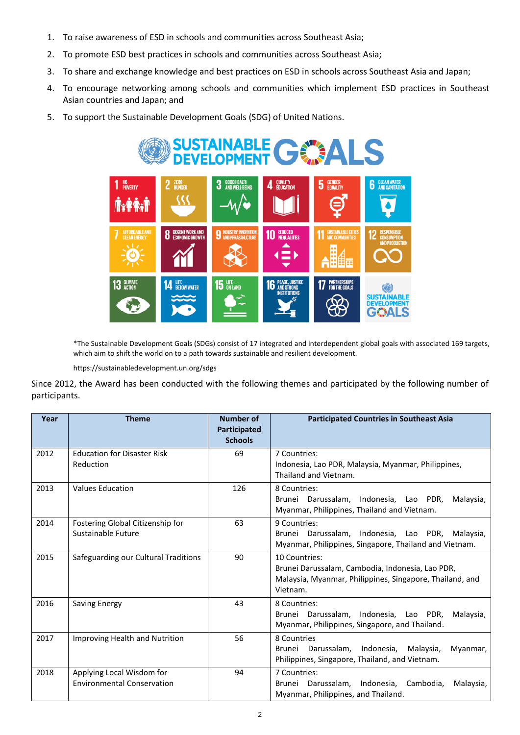- 1. To raise awareness of ESD in schools and communities across Southeast Asia;
- 2. To promote ESD best practices in schools and communities across Southeast Asia;
- 3. To share and exchange knowledge and best practices on ESD in schools across Southeast Asia and Japan;
- 4. To encourage networking among schools and communities which implement ESD practices in Southeast Asian countries and Japan; and
- 5. To support the Sustainable Development Goals (SDG) of United Nations.



\*The Sustainable Development Goals (SDGs) consist of 17 integrated and interdependent global goals with associated 169 targets, which aim to shift the world on to a path towards sustainable and resilient development.

https://sustainabledevelopment.un.org/sdgs

Since 2012, the Award has been conducted with the following themes and participated by the following number of participants.

| Year | <b>Theme</b>                                                   | <b>Number of</b><br>Participated<br><b>Schools</b> | <b>Participated Countries in Southeast Asia</b>                                                                                           |
|------|----------------------------------------------------------------|----------------------------------------------------|-------------------------------------------------------------------------------------------------------------------------------------------|
| 2012 | <b>Education for Disaster Risk</b><br>Reduction                | 69                                                 | 7 Countries:<br>Indonesia, Lao PDR, Malaysia, Myanmar, Philippines,<br>Thailand and Vietnam.                                              |
| 2013 | <b>Values Education</b>                                        | 126                                                | 8 Countries:<br>Brunei Darussalam, Indonesia, Lao PDR,<br>Malaysia,<br>Myanmar, Philippines, Thailand and Vietnam.                        |
| 2014 | Fostering Global Citizenship for<br>Sustainable Future         | 63                                                 | 9 Countries:<br>Brunei Darussalam, Indonesia, Lao PDR, Malaysia,<br>Myanmar, Philippines, Singapore, Thailand and Vietnam.                |
| 2015 | Safeguarding our Cultural Traditions                           | 90                                                 | 10 Countries:<br>Brunei Darussalam, Cambodia, Indonesia, Lao PDR,<br>Malaysia, Myanmar, Philippines, Singapore, Thailand, and<br>Vietnam. |
| 2016 | <b>Saving Energy</b>                                           | 43                                                 | 8 Countries:<br>Brunei Darussalam, Indonesia, Lao PDR,<br>Malaysia,<br>Myanmar, Philippines, Singapore, and Thailand.                     |
| 2017 | <b>Improving Health and Nutrition</b>                          | 56                                                 | 8 Countries<br>Brunei Darussalam, Indonesia, Malaysia,<br>Myanmar,<br>Philippines, Singapore, Thailand, and Vietnam.                      |
| 2018 | Applying Local Wisdom for<br><b>Environmental Conservation</b> | 94                                                 | 7 Countries:<br>Brunei Darussalam, Indonesia, Cambodia,<br>Malaysia,<br>Myanmar, Philippines, and Thailand.                               |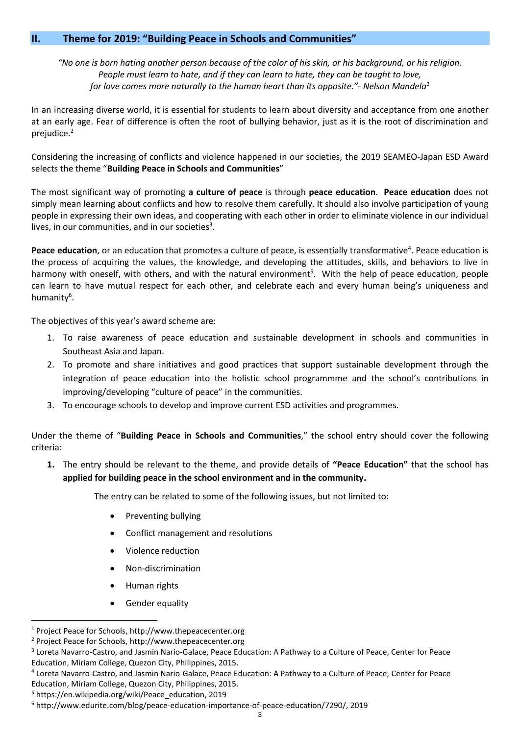#### **II. Theme for 2019: "Building Peace in Schools and Communities"**

*"No one is born hating another person because of the color of his skin, or his background, or his religion. People must learn to hate, and if they can learn to hate, they can be taught to love, for love comes more naturally to the human heart than its opposite."- Nelson Mandela<sup>1</sup>*

In an increasing diverse world, it is essential for students to learn about diversity and acceptance from one another at an early age. Fear of difference is often the root of bullying behavior, just as it is the root of discrimination and prejudice.<sup>2</sup>

Considering the increasing of conflicts and violence happened in our societies, the 2019 SEAMEO-Japan ESD Award selects the theme "**Building Peace in Schools and Communities**"

The most significant way of promoting **a culture of peace** is through **peace education**. **Peace education** does not simply mean learning about conflicts and how to resolve them carefully. It should also involve participation of young people in expressing their own ideas, and cooperating with each other in order to eliminate violence in our individual lives, in our communities, and in our societies<sup>3</sup>.

Peace education, or an education that promotes a culture of peace, is essentially transformative<sup>4</sup>. Peace education is the process of acquiring the values, the knowledge, and developing the attitudes, skills, and behaviors to live in harmony with oneself, with others, and with the natural environment<sup>5</sup>. With the help of peace education, people can learn to have mutual respect for each other, and celebrate each and every human being's uniqueness and humanity<sup>6</sup>.

The objectives of this year's award scheme are:

- 1. To raise awareness of peace education and sustainable development in schools and communities in Southeast Asia and Japan.
- 2. To promote and share initiatives and good practices that support sustainable development through the integration of peace education into the holistic school programmme and the school's contributions in improving/developing "culture of peace" in the communities.
- 3. To encourage schools to develop and improve current ESD activities and programmes.

Under the theme of "**Building Peace in Schools and Communities**," the school entry should cover the following criteria:

**1.** The entry should be relevant to the theme, and provide details of **"Peace Education"** that the school has **applied for building peace in the school environment and in the community.** 

The entry can be related to some of the following issues, but not limited to:

- Preventing bullying
- Conflict management and resolutions
- Violence reduction
- Non-discrimination
- Human rights
- Gender equality

<sup>1</sup> Project Peace for Schools[, http://www.thepeacecenter.org](http://www.thepeacecenter.org/) 

<sup>2</sup> Project Peace for Schools[, http://www.thepeacecenter.org](http://www.thepeacecenter.org/)

<sup>&</sup>lt;sup>3</sup> Loreta Navarro-Castro, and Jasmin Nario-Galace, Peace Education: A Pathway to a Culture of Peace, Center for Peace Education, Miriam College, Quezon City, Philippines, 2015.

<sup>4</sup> Loreta Navarro-Castro, and Jasmin Nario-Galace, Peace Education: A Pathway to a Culture of Peace, Center for Peace Education, Miriam College, Quezon City, Philippines, 2015.

<sup>5</sup> [https://en.wikipedia.org/wiki/Peace\\_education,](https://en.wikipedia.org/wiki/Peace_education) 2019

<sup>6</sup> [http://www.edurite.com/blog/peace-education-importance-of-peace-education/7290/,](http://www.edurite.com/blog/peace-education-importance-of-peace-education/7290/) 2019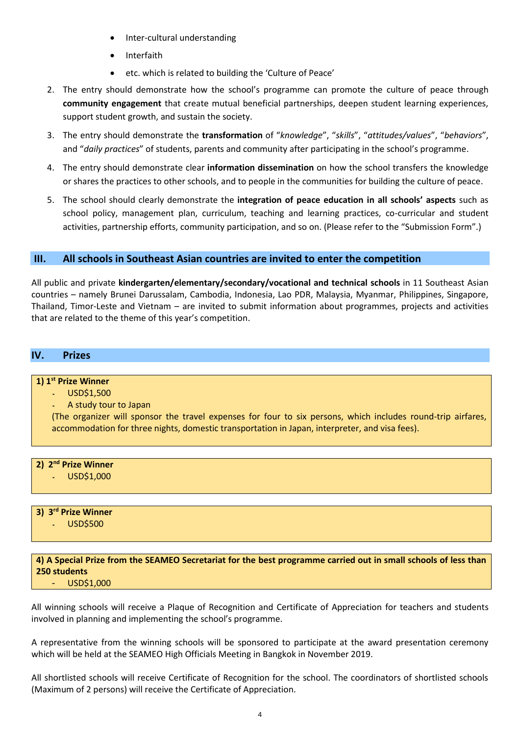- Inter-cultural understanding
- **Interfaith**
- etc. which is related to building the 'Culture of Peace'
- 2. The entry should demonstrate how the school's programme can promote the culture of peace through **community engagement** that create mutual beneficial partnerships, deepen student learning experiences, support student growth, and sustain the society.
- 3. The entry should demonstrate the **transformation** of "*knowledge*", "*skills*", "*attitudes/values*", "*behaviors*", and "*daily practices*" of students, parents and community after participating in the school's programme.
- 4. The entry should demonstrate clear **information dissemination** on how the school transfers the knowledge or shares the practices to other schools, and to people in the communities for building the culture of peace.
- 5. The school should clearly demonstrate the **integration of peace education in all schools' aspects** such as school policy, management plan, curriculum, teaching and learning practices, co-curricular and student activities, partnership efforts, community participation, and so on. (Please refer to the "Submission Form".)

#### **III. All schools in Southeast Asian countries are invited to enter the competition**

All public and private **kindergarten/elementary/secondary/vocational and technical schools** in 11 Southeast Asian countries – namely Brunei Darussalam, Cambodia, Indonesia, Lao PDR, Malaysia, Myanmar, Philippines, Singapore, Thailand, Timor-Leste and Vietnam – are invited to submit information about programmes, projects and activities that are related to the theme of this year's competition.

#### **IV. Prizes**

#### **1) 1st Prize Winner**

**-** USD\$1,500

**-** A study tour to Japan

(The organizer will sponsor the travel expenses for four to six persons, which includes round-trip airfares, accommodation for three nights, domestic transportation in Japan, interpreter, and visa fees).

#### **2) 2nd Prize Winner**

**-** USD\$1,000

## **3) 3 rd Prize Winner**

**-** USD\$500

#### **4) A Special Prize from the SEAMEO Secretariat for the best programme carried out in small schools of less than 250 students**

#### - USD\$1,000

All winning schools will receive a Plaque of Recognition and Certificate of Appreciation for teachers and students involved in planning and implementing the school's programme.

A representative from the winning schools will be sponsored to participate at the award presentation ceremony which will be held at the SEAMEO High Officials Meeting in Bangkok in November 2019.

All shortlisted schools will receive Certificate of Recognition for the school. The coordinators of shortlisted schools (Maximum of 2 persons) will receive the Certificate of Appreciation.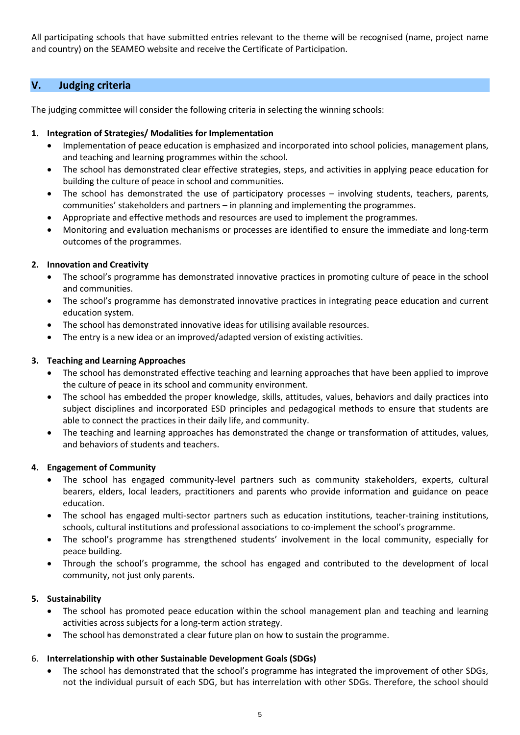All participating schools that have submitted entries relevant to the theme will be recognised (name, project name and country) on the SEAMEO website and receive the Certificate of Participation.

#### **V. Judging criteria**

The judging committee will consider the following criteria in selecting the winning schools:

#### **1. Integration of Strategies/ Modalities for Implementation**

- Implementation of peace education is emphasized and incorporated into school policies, management plans, and teaching and learning programmes within the school.
- The school has demonstrated clear effective strategies, steps, and activities in applying peace education for building the culture of peace in school and communities.
- The school has demonstrated the use of participatory processes involving students, teachers, parents, communities' stakeholders and partners – in planning and implementing the programmes.
- Appropriate and effective methods and resources are used to implement the programmes.
- Monitoring and evaluation mechanisms or processes are identified to ensure the immediate and long-term outcomes of the programmes.

#### **2. Innovation and Creativity**

- The school's programme has demonstrated innovative practices in promoting culture of peace in the school and communities.
- The school's programme has demonstrated innovative practices in integrating peace education and current education system.
- The school has demonstrated innovative ideas for utilising available resources.
- The entry is a new idea or an improved/adapted version of existing activities.

#### **3. Teaching and Learning Approaches**

- The school has demonstrated effective teaching and learning approaches that have been applied to improve the culture of peace in its school and community environment.
- The school has embedded the proper knowledge, skills, attitudes, values, behaviors and daily practices into subject disciplines and incorporated ESD principles and pedagogical methods to ensure that students are able to connect the practices in their daily life, and community.
- The teaching and learning approaches has demonstrated the change or transformation of attitudes, values, and behaviors of students and teachers.

#### **4. Engagement of Community**

- The school has engaged community-level partners such as community stakeholders, experts, cultural bearers, elders, local leaders, practitioners and parents who provide information and guidance on peace education.
- The school has engaged multi-sector partners such as education institutions, teacher-training institutions, schools, cultural institutions and professional associations to co-implement the school's programme.
- The school's programme has strengthened students' involvement in the local community, especially for peace building.
- Through the school's programme, the school has engaged and contributed to the development of local community, not just only parents.

#### **5. Sustainability**

- The school has promoted peace education within the school management plan and teaching and learning activities across subjects for a long-term action strategy.
- The school has demonstrated a clear future plan on how to sustain the programme.

#### 6. **Interrelationship with other Sustainable Development Goals (SDGs)**

• The school has demonstrated that the school's programme has integrated the improvement of other SDGs, not the individual pursuit of each SDG, but has interrelation with other SDGs. Therefore, the school should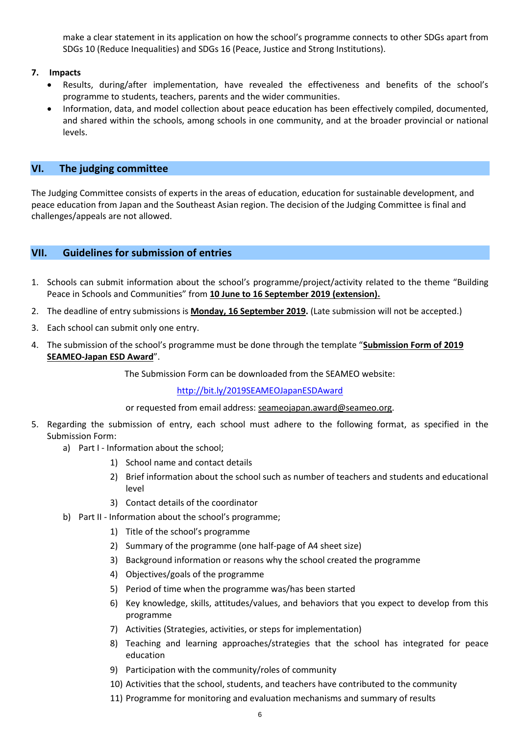make a clear statement in its application on how the school's programme connects to other SDGs apart from SDGs 10 (Reduce Inequalities) and SDGs 16 (Peace, Justice and Strong Institutions).

#### **7. Impacts**

- Results, during/after implementation, have revealed the effectiveness and benefits of the school's programme to students, teachers, parents and the wider communities.
- Information, data, and model collection about peace education has been effectively compiled, documented, and shared within the schools, among schools in one community, and at the broader provincial or national levels.

#### **VI. The judging committee**

The Judging Committee consists of experts in the areas of education, education for sustainable development, and peace education from Japan and the Southeast Asian region. The decision of the Judging Committee is final and challenges/appeals are not allowed.

#### **VII. Guidelines for submission of entries**

- 1. Schools can submit information about the school's programme/project/activity related to the theme "Building Peace in Schools and Communities" from **10 June to 16 September 2019 (extension).**
- 2. The deadline of entry submissions is **Monday, 16 September 2019.** (Late submission will not be accepted.)
- 3. Each school can submit only one entry.
- 4. The submission of the school's programme must be done through the template "**Submission Form of 2019 SEAMEO-Japan ESD Award**".

The Submission Form can be downloaded from the SEAMEO website:

<http://bit.ly/2019SEAMEOJapanESDAward>

or requested from email address: seameojapan.award@seameo.org.

- 5. Regarding the submission of entry, each school must adhere to the following format, as specified in the Submission Form:
	- a) Part I Information about the school;
		- 1) School name and contact details
		- 2) Brief information about the school such as number of teachers and students and educational level
		- 3) Contact details of the coordinator
	- b) Part II Information about the school's programme;
		- 1) Title of the school's programme
		- 2) Summary of the programme (one half-page of A4 sheet size)
		- 3) Background information or reasons why the school created the programme
		- 4) Objectives/goals of the programme
		- 5) Period of time when the programme was/has been started
		- 6) Key knowledge, skills, attitudes/values, and behaviors that you expect to develop from this programme
		- 7) Activities (Strategies, activities, or steps for implementation)
		- 8) Teaching and learning approaches/strategies that the school has integrated for peace education
		- 9) Participation with the community/roles of community
		- 10) Activities that the school, students, and teachers have contributed to the community
		- 11) Programme for monitoring and evaluation mechanisms and summary of results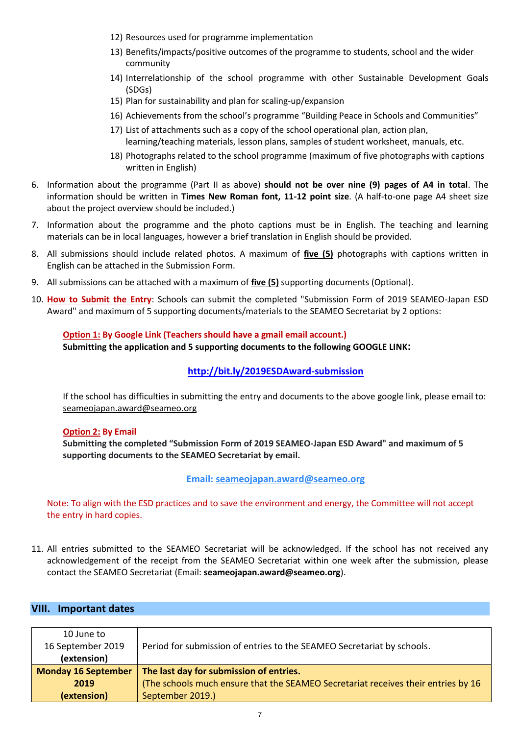- 12) Resources used for programme implementation
- 13) Benefits/impacts/positive outcomes of the programme to students, school and the wider community
- 14) Interrelationship of the school programme with other Sustainable Development Goals (SDGs)
- 15) Plan for sustainability and plan for scaling-up/expansion
- 16) Achievements from the school's programme "Building Peace in Schools and Communities"
- 17) List of attachments such as a copy of the school operational plan, action plan, learning/teaching materials, lesson plans, samples of student worksheet, manuals, etc.
- 18) Photographs related to the school programme (maximum of five photographs with captions written in English)
- 6. Information about the programme (Part II as above) **should not be over nine (9) pages of A4 in total**. The information should be written in **Times New Roman font, 11-12 point size**. (A half-to-one page A4 sheet size about the project overview should be included.)
- 7. Information about the programme and the photo captions must be in English. The teaching and learning materials can be in local languages, however a brief translation in English should be provided.
- 8. All submissions should include related photos. A maximum of **five (5)** photographs with captions written in English can be attached in the Submission Form.
- 9. All submissions can be attached with a maximum of **five (5)** supporting documents (Optional).
- 10. **How to Submit the Entry**: Schools can submit the completed "Submission Form of 2019 SEAMEO-Japan ESD Award" and maximum of 5 supporting documents/materials to the SEAMEO Secretariat by 2 options:

#### **Option 1: By Google Link (Teachers should have a gmail email account.) Submitting the application and 5 supporting documents to the following GOOGLE LINK:**

#### **<http://bit.ly/2019ESDAward-submission>**

If the school has difficulties in submitting the entry and documents to the above google link, please email to: [seameojapan.award@seameo.org](mailto:seameojapan.award@seameo.org)

#### **Option 2: By Email**

**Submitting the completed "Submission Form of 2019 SEAMEO-Japan ESD Award" and maximum of 5 supporting documents to the SEAMEO Secretariat by email.**

#### **Email: [seameojapan.award@seameo.org](mailto:seameojapan.award@seameo.org)**

Note: To align with the ESD practices and to save the environment and energy, the Committee will not accept the entry in hard copies.

11. All entries submitted to the SEAMEO Secretariat will be acknowledged. If the school has not received any acknowledgement of the receipt from the SEAMEO Secretariat within one week after the submission, please contact the SEAMEO Secretariat (Email: **[seameojapan.award@seameo.org](mailto:seameojapan.award@seameo.org)**).

#### **VIII. Important dates**

| 10 June to<br>16 September 2019 | Period for submission of entries to the SEAMEO Secretariat by schools.            |
|---------------------------------|-----------------------------------------------------------------------------------|
| (extension)                     |                                                                                   |
| <b>Monday 16 September</b>      | The last day for submission of entries.                                           |
| 2019                            | (The schools much ensure that the SEAMEO Secretariat receives their entries by 16 |
| (extension)                     | September 2019.)                                                                  |